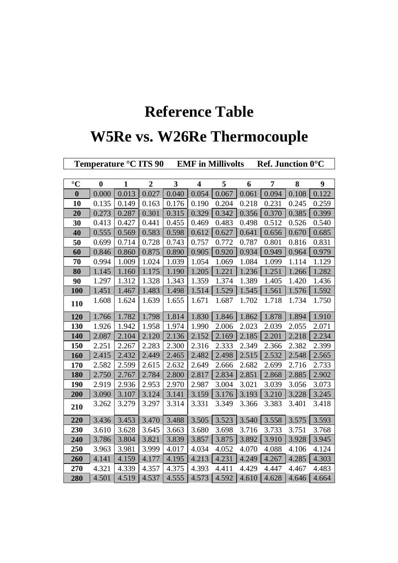## **Reference Table**

## **W5Re vs. W26Re Thermocouple**

| Temperature °C ITS 90 |          |              |                |              |                         | <b>EMF</b> in Millivolts |       | Ref. Junction 0°C |       |       |
|-----------------------|----------|--------------|----------------|--------------|-------------------------|--------------------------|-------|-------------------|-------|-------|
|                       |          |              |                |              |                         |                          |       |                   |       |       |
| $\rm ^{\circ}C$       | $\bf{0}$ | $\mathbf{1}$ | $\overline{2}$ | $\mathbf{3}$ | $\overline{\mathbf{4}}$ | 5                        | 6     | $\overline{7}$    | 8     | 9     |
| $\bf{0}$              | 0.000    | 0.013        | 0.027          | 0.040        | 0.054                   | 0.067                    | 0.061 | 0.094             | 0.108 | 0.122 |
| 10                    | 0.135    | 0.149        | 0.163          | 0.176        | 0.190                   | 0.204                    | 0.218 | 0.231             | 0.245 | 0.259 |
| 20                    | 0.273    | 0.287        | 0.301          | 0.315        | 0.329                   | 0.342                    | 0.356 | 0.370             | 0.385 | 0.399 |
| 30                    | 0.413    | 0.427        | 0.441          | 0.455        | 0.469                   | 0.483                    | 0.498 | 0.512             | 0.526 | 0.540 |
| 40                    | 0.555    | 0.569        | 0.583          | 0.598        | 0.612                   | 0.627                    | 0.641 | 0.656             | 0.670 | 0.685 |
| 50                    | 0.699    | 0.714        | 0.728          | 0.743        | 0.757                   | 0.772                    | 0.787 | 0.801             | 0.816 | 0.831 |
| 60                    | 0.846    | 0.860        | 0.875          | 0.890        | 0.905                   | 0.920                    | 0.934 | 0.949             | 0.964 | 0.979 |
| 70                    | 0.994    | 1.009        | 1.024          | 1.039        | 1.054                   | 1.069                    | 1.084 | 1.099             | 1.114 | 1.129 |
| 80                    | 1.145    | 1.160        | 1.175          | 1.190        | 1.205                   | 1.221                    | 1.236 | 1.251             | 1.266 | 1.282 |
| 90                    | 1.297    | 1.312        | 1.328          | 1.343        | 1.359                   | 1.374                    | 1.389 | 1.405             | 1.420 | 1.436 |
| 100                   | 1.451    | 1.467        | 1.483          | 1.498        | 1.514                   | 1.529                    | 1.545 | 1.561             | 1.576 | 1.592 |
| 110                   | 1.608    | 1.624        | 1.639          | 1.655        | 1.671                   | 1.687                    | 1.702 | 1.718             | 1.734 | 1.750 |
| 120                   | 1.766    | 1.782        | 1.798          | 1.814        | 1.830                   | 1.846                    | 1.862 | 1.878             | 1.894 | 1.910 |
| 130                   | 1.926    | 1.942        | 1.958          | 1.974        | 1.990                   | 2.006                    | 2.023 | 2.039             | 2.055 | 2.071 |
| 140                   | 2.087    | 2.104        | 2.120          | 2.136        | 2.152                   | 2.169                    | 2.185 | 2.201             | 2.218 | 2.234 |
| 150                   | 2.251    | 2.267        | 2.283          | 2.300        | 2.316                   | 2.333                    | 2.349 | 2.366             | 2.382 | 2.399 |
| 160                   | 2.415    | 2.432        | 2.449          | 2.465        | 2.482                   | 2.498                    | 2.515 | 2.532             | 2.548 | 2.565 |
| 170                   | 2.582    | 2.599        | 2.615          | 2.632        | 2.649                   | 2.666                    | 2.682 | 2.699             | 2.716 | 2.733 |
| 180                   | 2.750    | 2.767        | 2.784          | 2.800        | 2.817                   | 2.834                    | 2.851 | 2.868             | 2.885 | 2.902 |
| 190                   | 2.919    | 2.936        | 2.953          | 2.970        | 2.987                   | 3.004                    | 3.021 | 3.039             | 3.056 | 3.073 |
| 200                   | 3.090    | 3.107        | 3.124          | 3.141        | 3.159                   | 3.176                    | 3.193 | 3.210             | 3.228 | 3.245 |
| 210                   | 3.262    | 3.279        | 3.297          | 3.314        | 3.331                   | 3.349                    | 3.366 | 3.383             | 3.401 | 3.418 |
| 220                   | 3.436    | 3.453        | 3.470          | 3.488        | 3.505                   | 3.523                    | 3.540 | 3.558             | 3.575 | 3.593 |
| 230                   | 3.610    | 3.628        | 3.645          | 3.663        | 3.680                   | 3.698                    | 3.716 | 3.733             | 3.751 | 3.768 |
| 240                   | 3.786    | 3.804        | 3.821          | 3.839        | 3.857                   | 3.875                    | 3.892 | 3.910             | 3.928 | 3.945 |
| 250                   | 3.963    | 3.981        | 3.999          | 4.017        | 4.034                   | 4.052                    | 4.070 | 4.088             | 4.106 | 4.124 |
| 260                   | 4.141    | 4.159        | 4.177          | 4.195        | 4.213                   | 4.231                    | 4.249 | 4.267             | 4.285 | 4.303 |
| 270                   | 4.321    | 4.339        | 4.357          | 4.375        | 4.393                   | 4.411                    | 4.429 | 4.447             | 4.467 | 4.483 |
| 280                   | 4.501    | 4.519        | 4.537          | 4.555        | 4.573                   | 4.592                    | 4.610 | 4.628             | 4.646 | 4.664 |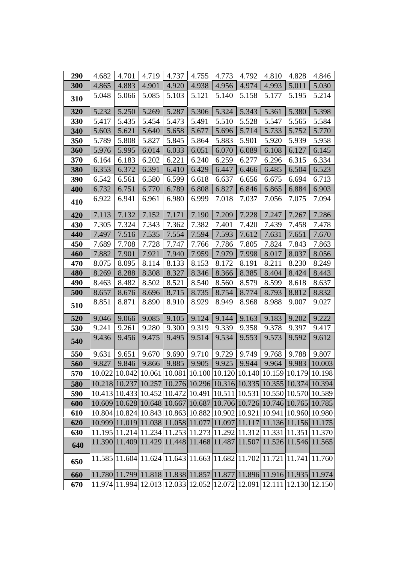| 290 | 4.682 | 4.701 | 4.719 | 4.737                                                                 | 4.755 | 4.773 | 4.792 | 4.810 | 4.828 | 4.846                                                                 |
|-----|-------|-------|-------|-----------------------------------------------------------------------|-------|-------|-------|-------|-------|-----------------------------------------------------------------------|
| 300 | 4.865 | 4.883 | 4.901 | 4.920                                                                 | 4.938 | 4.956 | 4.974 | 4.993 | 5.011 | 5.030                                                                 |
| 310 | 5.048 | 5.066 | 5.085 | 5.103                                                                 | 5.121 | 5.140 | 5.158 | 5.177 | 5.195 | 5.214                                                                 |
| 320 | 5.232 | 5.250 | 5.269 | 5.287                                                                 | 5.306 | 5.324 | 5.343 | 5.361 | 5.380 | 5.398                                                                 |
| 330 | 5.417 | 5.435 | 5.454 | 5.473                                                                 | 5.491 | 5.510 | 5.528 | 5.547 | 5.565 | 5.584                                                                 |
| 340 | 5.603 | 5.621 | 5.640 | 5.658                                                                 | 5.677 | 5.696 | 5.714 | 5.733 | 5.752 | 5.770                                                                 |
| 350 | 5.789 | 5.808 | 5.827 | 5.845                                                                 | 5.864 | 5.883 | 5.901 | 5.920 | 5.939 | 5.958                                                                 |
| 360 | 5.976 | 5.995 | 6.014 | 6.033                                                                 | 6.051 | 6.070 | 6.089 | 6.108 | 6.127 | 6.145                                                                 |
| 370 | 6.164 | 6.183 | 6.202 | 6.221                                                                 | 6.240 | 6.259 | 6.277 | 6.296 | 6.315 | 6.334                                                                 |
| 380 | 6.353 | 6.372 | 6.391 | 6.410                                                                 | 6.429 | 6.447 | 6.466 | 6.485 | 6.504 | 6.523                                                                 |
| 390 | 6.542 | 6.561 | 6.580 | 6.599                                                                 | 6.618 | 6.637 | 6.656 | 6.675 | 6.694 | 6.713                                                                 |
| 400 | 6.732 | 6.751 | 6.770 | 6.789                                                                 | 6.808 | 6.827 | 6.846 | 6.865 | 6.884 | 6.903                                                                 |
| 410 | 6.922 | 6.941 | 6.961 | 6.980                                                                 | 6.999 | 7.018 | 7.037 | 7.056 | 7.075 | 7.094                                                                 |
| 420 | 7.113 | 7.132 | 7.152 | 7.171                                                                 | 7.190 | 7.209 | 7.228 | 7.247 | 7.267 | 7.286                                                                 |
| 430 | 7.305 | 7.324 | 7.343 | 7.362                                                                 | 7.382 | 7.401 | 7.420 | 7.439 | 7.458 | 7.478                                                                 |
| 440 | 7.497 | 7.516 | 7.535 | 7.554                                                                 | 7.594 | 7.593 | 7.612 | 7.631 | 7.651 | 7.670                                                                 |
| 450 | 7.689 | 7.708 | 7.728 | 7.747                                                                 | 7.766 | 7.786 | 7.805 | 7.824 | 7.843 | 7.863                                                                 |
| 460 | 7.882 | 7.901 | 7.921 | 7.940                                                                 | 7.959 | 7.979 | 7.998 | 8.017 | 8.037 | 8.056                                                                 |
| 470 | 8.075 | 8.095 | 8.114 | 8.133                                                                 | 8.153 | 8.172 | 8.191 | 8.211 | 8.230 | 8.249                                                                 |
| 480 | 8.269 | 8.288 | 8.308 | 8.327                                                                 | 8.346 | 8.366 | 8.385 | 8.404 | 8.424 | 8.443                                                                 |
| 490 | 8.463 | 8.482 | 8.502 | 8.521                                                                 | 8.540 | 8.560 | 8.579 | 8.599 | 8.618 | 8.637                                                                 |
| 500 | 8.657 | 8.676 | 8.696 | 8.715                                                                 | 8.735 | 8.754 | 8.774 | 8.793 | 8.812 | 8.832                                                                 |
| 510 | 8.851 | 8.871 | 8.890 | 8.910                                                                 | 8.929 | 8.949 | 8.968 | 8.988 | 9.007 | 9.027                                                                 |
| 520 | 9.046 | 9.066 | 9.085 | 9.105                                                                 | 9.124 | 9.144 | 9.163 | 9.183 | 9.202 | 9.222                                                                 |
| 530 | 9.241 | 9.261 | 9.280 | 9.300                                                                 | 9.319 | 9.339 | 9.358 | 9.378 | 9.397 | 9.417                                                                 |
| 540 | 9.436 | 9.456 | 9.475 | 9.495                                                                 | 9.514 | 9.534 | 9.553 | 9.573 | 9.592 | 9.612                                                                 |
| 550 | 9.631 | 9.651 | 9.670 | 9.690                                                                 | 9.710 | 9.729 | 9.749 | 9.768 | 9.788 | 9.807                                                                 |
| 560 | 9.827 | 9.846 | 9.866 | 9.885                                                                 | 9.905 | 9.925 | 9.944 | 9.964 | 9.983 | 10.003                                                                |
| 570 |       |       |       | 10.022 10.042 10.061 10.081 10.100 10.120 10.140 10.159 10.179 10.198 |       |       |       |       |       |                                                                       |
| 580 |       |       |       |                                                                       |       |       |       |       |       | 10.218 10.237 10.257 10.276 10.296 10.316 10.335 10.355 10.374 10.394 |
| 590 |       |       |       | 10.413 10.433 10.452 10.472 10.491 10.511 10.531 10.550 10.570 10.589 |       |       |       |       |       |                                                                       |
| 600 |       |       |       | 10.609 10.628 10.648 10.667 10.687 10.706 10.726 10.746 10.765 10.785 |       |       |       |       |       |                                                                       |
| 610 |       |       |       |                                                                       |       |       |       |       |       | 10.804 10.824 10.843 10.863 10.882 10.902 10.921 10.941 10.960 10.980 |
| 620 |       |       |       |                                                                       |       |       |       |       |       | 10.999 11.019 11.038 11.058 11.077 11.097 11.117 11.136 11.156 11.175 |
| 630 |       |       |       |                                                                       |       |       |       |       |       | 11.195 11.214 11.234 11.253 11.273 11.292 11.312 11.331 11.351 11.370 |
| 640 |       |       |       |                                                                       |       |       |       |       |       | 11.390 11.409 11.429 11.448 11.468 11.487 11.507 11.526 11.546 11.565 |
| 650 |       |       |       |                                                                       |       |       |       |       |       | 11.585 11.604 11.624 11.643 11.663 11.682 11.702 11.721 11.741 11.760 |
| 660 |       |       |       |                                                                       |       |       |       |       |       | 11.780 11.799 11.818 11.838 11.857 11.877 11.896 11.916 11.935 11.974 |
| 670 |       |       |       |                                                                       |       |       |       |       |       | 11.974 11.994 12.013 12.033 12.052 12.072 12.091 12.111 12.130 12.150 |
|     |       |       |       |                                                                       |       |       |       |       |       |                                                                       |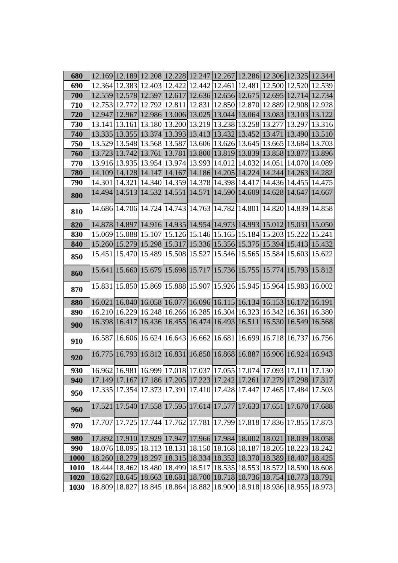| 680         |  | 12.169 12.189 12.208 12.228 12.247 12.267 12.286 12.306 12.325 12.344                                                                              |  |                                                                       |        |
|-------------|--|----------------------------------------------------------------------------------------------------------------------------------------------------|--|-----------------------------------------------------------------------|--------|
| 690         |  | 12.364 12.383 12.403 12.422 12.442 12.461 12.481 12.500 12.520 12.539                                                                              |  |                                                                       |        |
| 700         |  | 12.559 12.578 12.597 12.617 12.636 12.656 12.675 12.695 12.714 12.734                                                                              |  |                                                                       |        |
| 710         |  | 12.753 12.772 12.792 12.811 12.831 12.850 12.870 12.889 12.908 12.928                                                                              |  |                                                                       |        |
| 720         |  | 12.947 12.967 12.986 13.006 13.025 13.044 13.064 13.083 13.103 13.122                                                                              |  |                                                                       |        |
| 730         |  | 13.141   13.161   13.180   13.200   13.219   13.238   13.258   13.277   13.297   13.316                                                            |  |                                                                       |        |
| 740         |  | 13.335   13.355   13.374   13.393   13.413   13.432   13.452   13.471   13.490   13.510                                                            |  |                                                                       |        |
| 750         |  | 13.529 13.548 13.568 13.587 13.606 13.626 13.645 13.665 13.684                                                                                     |  |                                                                       | 13.703 |
| 760         |  | 13.723 13.742 13.761 13.781 13.800 13.819 13.839 13.858 13.877 13.896                                                                              |  |                                                                       |        |
| 770         |  | 13.916 13.935 13.954 13.974 13.993 14.012 14.032 14.051 14.070 14.089                                                                              |  |                                                                       |        |
| 780         |  | 14.109 14.128 14.147 14.167 14.186 14.205 14.224 14.244 14.263 14.282                                                                              |  |                                                                       |        |
| 790         |  | 14.301   14.321   14.340   14.359   14.378   14.398   14.417   14.436   14.455   14.475                                                            |  |                                                                       |        |
| 800         |  | 14.494 14.513 14.532 14.551 14.571 14.590 14.609 14.628 14.647 14.667                                                                              |  |                                                                       |        |
| 810         |  | 14.686 14.706 14.724 14.743 14.763 14.782 14.801 14.820 14.839 14.858                                                                              |  |                                                                       |        |
| 820         |  | 14.878 14.897 14.916 14.935 14.954 14.973 14.993 15.012 15.031 15.050                                                                              |  |                                                                       |        |
| 830         |  | 15.069 15.088 15.107 15.126 15.146 15.165 15.184 15.203 15.222 15.241                                                                              |  |                                                                       |        |
| 840         |  | 15.260 15.279 15.298 15.317 15.336 15.356 15.375 15.394 15.413 15.432                                                                              |  |                                                                       |        |
| 850         |  | 15.451   15.470   15.489   15.508   15.527   15.546   15.565   15.584   15.603   15.622                                                            |  |                                                                       |        |
| 860         |  | 15.641   15.660   15.679   15.698   15.717   15.736   15.755   15.774   15.793   15.812                                                            |  |                                                                       |        |
| 870         |  | 15.831 15.850 15.869 15.888 15.907 15.926 15.945 15.964 15.983 16.002                                                                              |  |                                                                       |        |
| 880         |  | 16.021   16.040   16.058   16.077   16.096   16.115   16.134   16.153   16.172   16.191                                                            |  |                                                                       |        |
| 890         |  | 16.210 16.229 16.248 16.266 16.285 16.304 16.323 16.342 16.361 16.380                                                                              |  |                                                                       |        |
| 900         |  | 16.398 16.417 16.436 16.455 16.474 16.493 16.511 16.530 16.549 16.568                                                                              |  |                                                                       |        |
| 910         |  | 16.587 16.606 16.624 16.643 16.662 16.681 16.699 16.718 16.737 16.756                                                                              |  |                                                                       |        |
| 920         |  | 16.775 16.793 16.812 16.831 16.850 16.868 16.887 16.906 16.924 16.943                                                                              |  |                                                                       |        |
| 930         |  | $\left  16.962 \right  16.981 \left  16.999 \right  17.018 \left  17.037 \right  17.055 \left  17.074 \right  17.093 \left  17.111 \right  17.130$ |  |                                                                       |        |
| 940         |  | 17.149 17.167 17.186 17.205 17.223 17.242 17.261 17.279 17.298 17.317                                                                              |  |                                                                       |        |
| 950         |  | 17.335   17.354   17.373   17.391   17.410   17.428   17.447   17.465   17.484   17.503                                                            |  |                                                                       |        |
| 960         |  | 17.521 17.540 17.558 17.595 17.614 17.577 17.633 17.651 17.670 17.688                                                                              |  |                                                                       |        |
| 970         |  | 17.707 17.725 17.744 17.762 17.781 17.799 17.818 17.836 17.855 17.873                                                                              |  |                                                                       |        |
| 980         |  | 17.892 17.910 17.929 17.947 17.966 17.984 18.002 18.021 18.039 18.058                                                                              |  |                                                                       |        |
| 990         |  | 18.076 18.095 18.113 18.131 18.150 18.168 18.187 18.205 18.223 18.242                                                                              |  |                                                                       |        |
| <b>1000</b> |  | 18.260 18.279 18.297 18.315 18.334 18.352 18.370 18.389 18.407 18.425                                                                              |  |                                                                       |        |
| <b>1010</b> |  | 18.444   18.462   18.480   18.499   18.517   18.535   18.553   18.572   18.590   18.608                                                            |  |                                                                       |        |
| 1020        |  | 18.627   18.645   18.663   18.681   18.700   18.718   18.736   18.754   18.773   18.791                                                            |  |                                                                       |        |
| 1030        |  |                                                                                                                                                    |  | 18.809 18.827 18.845 18.864 18.882 18.900 18.918 18.936 18.955 18.973 |        |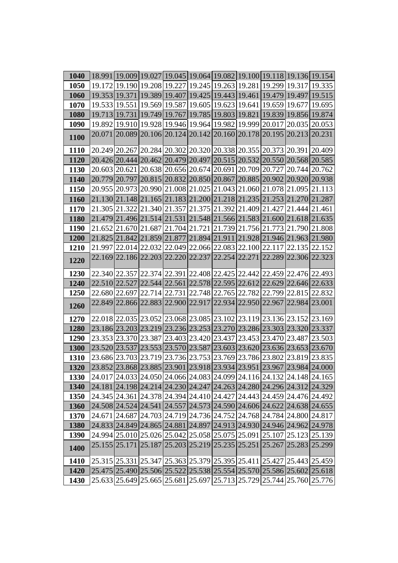| 1040        |  |  |  |  |                                                                       | 18.991 19.009 19.027 19.045 19.064 19.082 19.100 19.118 19.136 19.154                   |
|-------------|--|--|--|--|-----------------------------------------------------------------------|-----------------------------------------------------------------------------------------|
| 1050        |  |  |  |  |                                                                       | 19.172 19.190 19.208 19.227 19.245 19.263 19.281 19.299 19.317 19.335                   |
| 1060        |  |  |  |  |                                                                       | 19.353 19.371 19.389 19.407 19.425 19.443 19.461 19.479 19.497 19.515                   |
| 1070        |  |  |  |  |                                                                       | 19.533 19.551 19.569 19.587 19.605 19.623 19.641 19.659 19.677 19.695                   |
| <b>1080</b> |  |  |  |  |                                                                       | 19.713 19.731 19.749 19.767 19.785 19.803 19.821 19.839 19.856 19.874                   |
| <b>1090</b> |  |  |  |  |                                                                       | 19.892   19.910   19.928   19.946   19.964   19.982   19.999   20.017   20.035   20.053 |
| 1100        |  |  |  |  | 20.071 20.089 20.106 20.124 20.142 20.160 20.178 20.195 20.213 20.231 |                                                                                         |
| 1110        |  |  |  |  | 20.249 20.267 20.284 20.302 20.320 20.338 20.355 20.373 20.391 20.409 |                                                                                         |
| <b>1120</b> |  |  |  |  |                                                                       | 20.426 20.444 20.462 20.479 20.497 20.515 20.532 20.550 20.568 20.585                   |
| 1130        |  |  |  |  |                                                                       | 20.603 20.621 20.638 20.656 20.674 20.691 20.709 20.727 20.744 20.762                   |
| 1140        |  |  |  |  |                                                                       | 20.779 20.797 20.815 20.832 20.850 20.867 20.885 20.902 20.920 20.938                   |
| 1150        |  |  |  |  |                                                                       | 20.955 20.973 20.990 21.008 21.025 21.043 21.060 21.078 21.095 21.113                   |
| 1160        |  |  |  |  | 21.130 21.148 21.165 21.183 21.200 21.218 21.235 21.253 21.270 21.287 |                                                                                         |
| 1170        |  |  |  |  | 21.305 21.322 21.340 21.357 21.375 21.392 21.409 21.427 21.444 21.461 |                                                                                         |
| 1180        |  |  |  |  |                                                                       | 21.479 21.496 21.514 21.531 21.548 21.566 21.583 21.600 21.618 21.635                   |
| 1190        |  |  |  |  |                                                                       | 21.652 21.670 21.687 21.704 21.721 21.739 21.756 21.773 21.790 21.808                   |
| <b>1200</b> |  |  |  |  | 21.825 21.842 21.859 21.877 21.894 21.911 21.928 21.946 21.963 21.980 |                                                                                         |
| <b>1210</b> |  |  |  |  |                                                                       | 21.997 22.014 22.032 22.049 22.066 22.083 22.100 22.117 22.135 22.152                   |
| 1220        |  |  |  |  |                                                                       | 22.169 22.186 22.203 22.220 22.237 22.254 22.271 22.289 22.306 22.323                   |
| 1230        |  |  |  |  |                                                                       | 22.340 22.357 22.374 22.391 22.408 22.425 22.442 22.459 22.476 22.493                   |
| 1240        |  |  |  |  |                                                                       | 22.510 22.527 22.544 22.561 22.578 22.595 22.612 22.629 22.646 22.633                   |
| 1250        |  |  |  |  |                                                                       | 22.680 22.697 22.714 22.731 22.748 22.765 22.782 22.799 22.815 22.832                   |
| 1260        |  |  |  |  | 22.849 22.866 22.883 22.900 22.917 22.934 22.950 22.967 22.984 23.001 |                                                                                         |
| 1270        |  |  |  |  | 22.018 22.035 23.052 23.068 23.085 23.102 23.119 23.136 23.152 23.169 |                                                                                         |
| 1280        |  |  |  |  |                                                                       | 23.186 23.203 23.219 23.236 23.253 23.270 23.286 23.303 23.320 23.337                   |
| <b>1290</b> |  |  |  |  |                                                                       | 23.353 23.370 23.387 23.403 23.420 23.437 23.453 23.470 23.487 23.503                   |
| 1300        |  |  |  |  | 23.520 23.537 23.553 23.570 23.587 23.603 23.620 23.636 23.653 23.670 |                                                                                         |
| 1310        |  |  |  |  | 23.686 23.703 23.719 23.736 23.753 23.769 23.786 23.802 23.819 23.835 |                                                                                         |
| <b>1320</b> |  |  |  |  |                                                                       | 23.852 23.868 23.885 23.901 23.918 23.934 23.951 23.967 23.984 24.000                   |
| 1330        |  |  |  |  |                                                                       | 24.017 24.033 24.050 24.066 24.083 24.099 24.116 24.132 24.148 24.165                   |
| 1340        |  |  |  |  | 24.181 24.198 24.214 24.230 24.247 24.263 24.280 24.296 24.312 24.329 |                                                                                         |
| 1350        |  |  |  |  | 24.345 24.361 24.378 24.394 24.410 24.427 24.443 24.459 24.476 24.492 |                                                                                         |
| 1360        |  |  |  |  | 24.508 24.524 24.541 24.557 24.573 24.590 24.606 24.622 24.638 24.655 |                                                                                         |
| 1370        |  |  |  |  |                                                                       | 24.671 24.687 24.703 24.719 24.736 24.752 24.768 24.784 24.800 24.817                   |
| 1380        |  |  |  |  | 24.833 24.849 24.865 24.881 24.897 24.913 24.930 24.946 24.962 24.978 |                                                                                         |
| <b>1390</b> |  |  |  |  | 24.994 25.010 25.026 25.042 25.058 25.075 25.091 25.107 25.123 25.139 |                                                                                         |
| 1400        |  |  |  |  | 25.155 25.171 25.187 25.203 25.219 25.235 25.251 25.267 25.283 25.299 |                                                                                         |
| <b>1410</b> |  |  |  |  | 25.315 25.331 25.347 25.363 25.379 25.395 25.411 25.427 25.443 25.459 |                                                                                         |
| 1420        |  |  |  |  |                                                                       | 25.475 25.490 25.506 25.522 25.538 25.554 25.570 25.586 25.602 25.618                   |
| 1430        |  |  |  |  |                                                                       | 25.633 25.649 25.665 25.681 25.697 25.713 25.729 25.744 25.760 25.776                   |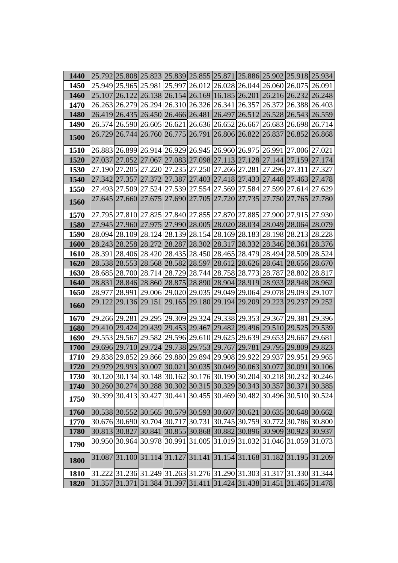| 1440        |               |                                                                                |  |                      |  | 25.792 25.808 25.823 25.839 25.855 25.871 25.886 25.902 25.918 25.934                                                           |
|-------------|---------------|--------------------------------------------------------------------------------|--|----------------------|--|---------------------------------------------------------------------------------------------------------------------------------|
| 1450        |               |                                                                                |  |                      |  | 25.949 25.965 25.981 25.997 26.012 26.028 26.044 26.060 26.075 26.091                                                           |
| 1460        |               | 25.107 26.122 26.138 26.154 26.169 16.185 26.201 26.216 26.232 26.248          |  |                      |  |                                                                                                                                 |
| 1470        |               | 26.263 26.279 26.294 26.310 26.326 26.341 26.357 26.372 26.388 26.403          |  |                      |  |                                                                                                                                 |
| 1480        | 26.419 26.435 | $[26.450]26.466]26.481[26.497]26.512[26.528]26.543[26.559]$                    |  |                      |  |                                                                                                                                 |
| <b>1490</b> |               |                                                                                |  |                      |  | 26.574 26.590 26.605 26.621 26.636 26.652 26.667 26.683 26.698 26.714                                                           |
| 1500        |               | 26.729 26.744 26.760 26.775 26.791 26.806 26.822 26.837 26.852 26.868          |  |                      |  |                                                                                                                                 |
| <b>1510</b> |               | 26.883 26.899 26.914 26.929 26.945 26.960 26.975 26.991 27.006 27.021          |  |                      |  |                                                                                                                                 |
| 1520        |               | 27.037  27.052  27.067  27.083  27.098  27.113  27.128  27.144  27.159  27.174 |  |                      |  |                                                                                                                                 |
| 1530        |               | 27.190 27.205 27.220 27.235 27.250 27.266 27.281 27.296 27.311 27.327          |  |                      |  |                                                                                                                                 |
| 1540        |               | 27.342 27.357 27.372 27.387 27.403 27.418 27.433 27.448 27.463 27.478          |  |                      |  |                                                                                                                                 |
| 1550        |               | 27.493 27.509 27.524 27.539 27.554 27.569 27.584 27.599 27.614 27.629          |  |                      |  |                                                                                                                                 |
| 1560        |               | 27.645 27.660 27.675 27.690 27.705 27.720 27.735 27.750 27.765 27.780          |  |                      |  |                                                                                                                                 |
| 1570        |               | 27.795 27.810 27.825 27.840 27.855 27.870 27.885 27.900 27.915 27.930          |  |                      |  |                                                                                                                                 |
| 1580        |               | 27.945 27.960 27.975 27.990 28.005 28.020 28.034 28.049 28.064 28.079          |  |                      |  |                                                                                                                                 |
| 1590        |               | 28.094 28.109 28.124 28.139 28.154 28.169 28.183 28.198 28.213 28.228          |  |                      |  |                                                                                                                                 |
| <b>1600</b> |               | 28.243 28.258 28.272 28.287 28.302 28.317 28.332 28.346 28.361 28.376          |  |                      |  |                                                                                                                                 |
| <b>1610</b> |               | 28.391 28.406 28.420 28.435 28.450 28.465 28.479 28.494 28.509 28.524          |  |                      |  |                                                                                                                                 |
| 1620        |               | 28.538 28.553 28.568 28.582 28.597                                             |  | 28.612 28.626 28.641 |  | 28.656 28.670                                                                                                                   |
| 1630        |               | 28.685 28.700 28.714 28.729 28.744                                             |  |                      |  | 28.758 28.773 28.787 28.802 28.817                                                                                              |
| 1640        |               | 28.831 28.846 28.860 28.875 28.890 28.904 28.919 28.933 28.948 28.962          |  |                      |  |                                                                                                                                 |
| 1650        |               |                                                                                |  |                      |  | 28.977 28.991 29.006 29.020 29.035 29.049 29.064 29.078 29.093 29.107                                                           |
| 1660        |               | 29.122 29.136 29.151 29.165 29.180 29.194 29.209 29.223 29.237 29.252          |  |                      |  |                                                                                                                                 |
| 1670        |               | 29.266 29.281 29.295 29.309 29.324 29.338 29.353 29.367 29.381 29.396          |  |                      |  |                                                                                                                                 |
| 1680        |               | 29.410 29.424 29.439 29.453 29.467 29.482 29.496 29.510 29.525 29.539          |  |                      |  |                                                                                                                                 |
| 1690        |               | 29.553 29.567 29.582 29.596 29.610 29.625 29.639 29.653 29.667 29.681          |  |                      |  |                                                                                                                                 |
| <b>1700</b> | 29.696 29.710 | 29.724   29.738   29.753   29.767   29.781   29.795   29.809   29.823          |  |                      |  |                                                                                                                                 |
| 1710        |               | 29.838 29.852 29.866 29.880 29.894 29.908 29.922 29.937 29.951 29.965          |  |                      |  |                                                                                                                                 |
| 1720        |               | 29.979 29.993 30.007 30.021 30.035 30.049 30.063 30.077 30.091 30.106          |  |                      |  |                                                                                                                                 |
| 1730        |               |                                                                                |  |                      |  | 30.120 30.134 30.148 30.162 30.176 30.190 30.204 30.218 30.232 30.246                                                           |
| 1740        |               |                                                                                |  |                      |  | 30.260 30.274 30.288 30.302 30.315 30.329 30.343 30.357 30.371 30.385                                                           |
| 1750        |               | 30.399 30.413 30.427 30.441 30.455 30.469 30.482 30.496 30.510 30.524          |  |                      |  |                                                                                                                                 |
| 1760        |               | 30.538 30.552 30.565 30.579 30.593 30.607 30.621 30.635 30.648 30.662          |  |                      |  |                                                                                                                                 |
| 1770        |               | 30.676 30.690 30.704 30.717 30.731 30.745 30.759 30.772 30.786 30.800          |  |                      |  |                                                                                                                                 |
| 1780        |               |                                                                                |  |                      |  | 30.813 30.827 30.841 30.855 30.868 30.882 30.896 30.909 30.923 30.937                                                           |
| 1790        |               | 30.950 30.964 30.978 30.991 31.005 31.019 31.032 31.046 31.059 31.073          |  |                      |  |                                                                                                                                 |
| 1800        |               | 31.087 31.100 31.114 31.127 31.141 31.154 31.168 31.182 31.195 31.209          |  |                      |  |                                                                                                                                 |
| 1810        |               |                                                                                |  |                      |  | 31.222 31.236 31.249 31.263 31.276 31.290 31.303 31.317 31.330 31.344                                                           |
| 1820        |               |                                                                                |  |                      |  | $\left 31.357\right 31.371\left 31.384\right 31.397\left 31.411\right 31.424\left 31.438\right 31.451\left 31.465\right 31.478$ |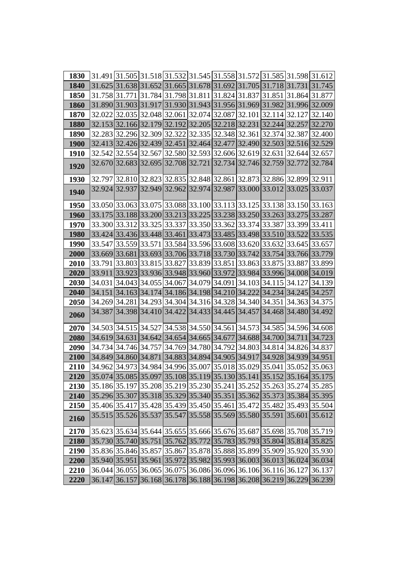| 1830        |  |  |  |  |                                                                                | 31.491 31.505 31.518 31.532 31.545 31.558 31.572 31.585 31.598 31.612 |
|-------------|--|--|--|--|--------------------------------------------------------------------------------|-----------------------------------------------------------------------|
| 1840        |  |  |  |  | $ 31.625 31.638 31.652 31.665 31.678 31.692 31.705 31.718 31.731 31.745$       |                                                                       |
| 1850        |  |  |  |  | 31.758 31.771 31.784 31.798 31.811 31.824 31.837 31.851 31.864 31.877          |                                                                       |
| 1860        |  |  |  |  | 31.890 31.903 31.917 31.930 31.943 31.956 31.969 31.982 31.996 32.009          |                                                                       |
| 1870        |  |  |  |  | 32.022 32.035 32.048 32.061 32.074 32.087 32.101 32.114 32.127 32.140          |                                                                       |
| <b>1880</b> |  |  |  |  | 32.153 32.166 32.179 32.192 32.205 32.218 32.231 32.244 32.257 32.270          |                                                                       |
| <b>1890</b> |  |  |  |  | 32.283 32.296 32.309 32.322 32.335 32.348 32.361 32.374 32.387 32.400          |                                                                       |
| <b>1900</b> |  |  |  |  | 32.413  32.426  32.439  32.451  32.464  32.477  32.490  32.503  32.516  32.529 |                                                                       |
| <b>1910</b> |  |  |  |  | 32.542 32.554 32.567 32.580 32.593 32.606 32.619 32.631 32.644 32.657          |                                                                       |
| 1920        |  |  |  |  | 32.670 32.683 32.695 32.708 32.721 32.734 32.746 32.759 32.772 32.784          |                                                                       |
| 1930        |  |  |  |  | 32.797 32.810 32.823 32.835 32.848 32.861 32.873 32.886 32.899 32.911          |                                                                       |
| 1940        |  |  |  |  | 32.924 32.937 32.949 32.962 32.974 32.987 33.000 33.012 33.025 33.037          |                                                                       |
| <b>1950</b> |  |  |  |  | 33.050 33.063 33.075 33.088 33.100 33.113 33.125 33.138 33.150 33.163          |                                                                       |
| <b>1960</b> |  |  |  |  | 33.175 33.188 33.200 33.213 33.225 33.238 33.250 33.263 33.275 33.287          |                                                                       |
| 1970        |  |  |  |  | 33.300 33.312 33.325 33.337 33.350 33.362 33.374 33.387 33.399 33.411          |                                                                       |
| <b>1980</b> |  |  |  |  | 33.424 33.436 33.448 33.461 33.473 33.485 33.498 33.510 33.522 33.535          |                                                                       |
| 1990        |  |  |  |  | 33.547 33.559 33.571 33.584 33.596 33.608 33.620 33.632 33.645 33.657          |                                                                       |
| 2000        |  |  |  |  | 33.669 33.681 33.693 33.706 33.718 33.730 33.742 33.754 33.766 33.779          |                                                                       |
| 2010        |  |  |  |  | 33.791 33.803 33.815 33.827 33.839 33.851 33.863 33.875 33.887 33.899          |                                                                       |
| 2020        |  |  |  |  | 33.911 33.923 33.936 33.948 33.960 33.972 33.984 33.996 34.008 34.019          |                                                                       |
| 2030        |  |  |  |  | 34.031 34.043 34.055 34.067 34.079 34.091 34.103 34.115 34.127 34.139          |                                                                       |
| 2040        |  |  |  |  | 34.151 34.163 34.174 34.186 34.198 34.210 34.222 34.234 34.245 34.257          |                                                                       |
| 2050        |  |  |  |  | 34.269 34.281 34.293 34.304 34.316 34.328 34.340 34.351 34.363 34.375          |                                                                       |
| 2060        |  |  |  |  | 34.387 34.398 34.410 34.422 34.433 34.445 34.457 34.468 34.480 34.492          |                                                                       |
| 2070        |  |  |  |  | 34.503 34.515 34.527 34.538 34.550 34.561 34.573 34.585 34.596 34.608          |                                                                       |
| 2080        |  |  |  |  | 34.619 34.631 34.642 34.654 34.665 34.677 34.688 34.700 34.711 34.723          |                                                                       |
| 2090        |  |  |  |  | 34.734 34.746 34.757 34.769 34.780 34.792 34.803 34.814 34.826 34.837          |                                                                       |
| 2100        |  |  |  |  | 34.849 34.860 34.871 34.883 34.894 34.905 34.917 34.928 34.939 34.951          |                                                                       |
| 2110        |  |  |  |  | 34.962 34.973 34.984 34.996 35.007 35.018 35.029 35.041 35.052 35.063          |                                                                       |
| 2120        |  |  |  |  | 35.074 35.085 35.097 35.108 35.119 35.130 35.141 35.152 35.164 35.175          |                                                                       |
| 2130        |  |  |  |  | 35.186 35.197 35.208 35.219 35.230 35.241 35.252 35.263 35.274 35.285          |                                                                       |
| 2140        |  |  |  |  | 35.296 35.307 35.318 35.329 35.340 35.351 35.362 35.373 35.384 35.395          |                                                                       |
| 2150        |  |  |  |  | 35.406 35.417 35.428 35.439 35.450 35.461 35.472 35.482 35.493 35.504          |                                                                       |
| 2160        |  |  |  |  | 35.515 35.526 35.537 35.547 35.558 35.569 35.580 35.591 35.601 35.612          |                                                                       |
| 2170        |  |  |  |  | 35.623 35.634 35.644 35.655 35.666 35.676 35.687 35.698 35.708 35.719          |                                                                       |
| 2180        |  |  |  |  | 35.730 35.740 35.751 35.762 35.772 35.783 35.793 35.804 35.814 35.825          |                                                                       |
| 2190        |  |  |  |  | 35.836 35.846 35.857 35.867 35.878 35.888 35.899 35.909 35.920 35.930          |                                                                       |
| 2200        |  |  |  |  | 35.940  35.951  35.961  35.972  35.982  35.993  36.003  36.013  36.024  36.034 |                                                                       |
| 2210        |  |  |  |  | 36.044 36.055 36.065 36.075 36.086 36.096 36.106 36.116 36.127 36.137          |                                                                       |
| 2220        |  |  |  |  |                                                                                | 36.147 36.157 36.168 36.178 36.188 36.198 36.208 36.219 36.229 36.239 |